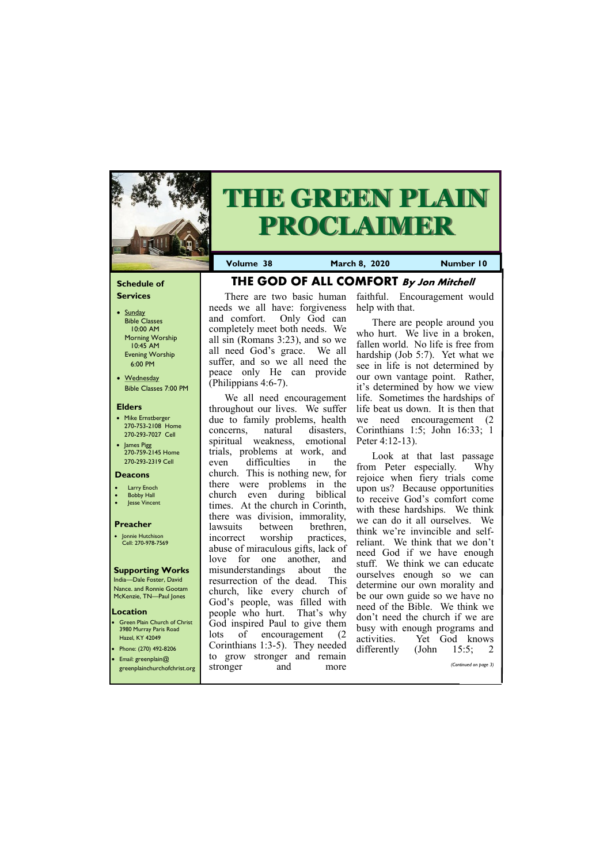## **Schedule of Services**

- Sunday Bible Classes 10:00 AM Morning Worship 10:45 AM Evening Worship 6:00 PM
- Wednesday Bible Classes 7:00 PM

#### **Elders**

**Green Plain Church of Christ** 3980 Murray Paris Road Hazel, KY 42049 • Phone: (270) 492-8206

- Mike Ernstberger 270-753-2108 Home 270-293-7027 Cell
- James Pigg 270-759-2145 Home 270-293-2319 Cell

#### **Location**



# **THE GREEN PLAIN PROCLAIMER**

**Volume 38 March 8, 2020 Number 10**

#### **Deacons**

- **Larry Enoch**
- **Bobby Hall**
- **Jesse Vincent**

## **Preacher**

• Jonnie Hutchison Cell: 270-978-7569

#### **Supporting Works**

India—Dale Foster, David Nance. and Ronnie Gootam McKenzie, TN—Paul Jones

**THE GOD OF ALL COMFORT By Jon Mitchell**

There are two basic human

and comfort. Only God can completely meet both needs. We all sin (Romans 3:23), and so we all need God's grace. We all suffer, and so we all need the peace only He can provide

(Philippians 4:6-7).

needs we all have: forgiveness faithful. Encouragement would help with that.

We all need encouragement throughout our lives. We suffer due to family problems, health concerns, natural disasters, spiritual weakness, emotional trials, problems at work, and even difficulties in the church. This is nothing new, for there were problems in the church even during biblical times. At the church in Corinth, there was division, immorality, lawsuits between brethren, incorrect worship practices, abuse of miraculous gifts, lack of love for one another, and misunderstandings about the resurrection of the dead. This church, like every church of God's people, was filled with people who hurt. That's why God inspired Paul to give them lots of encouragement (2 Corinthians 1:3-5). They needed

| • Email: greenplain $@$      | grow<br>to | stronger and | remain | <u>UMONT</u> | 1 J VIIII | 10.J.                 |
|------------------------------|------------|--------------|--------|--------------|-----------|-----------------------|
| greenplainchurchofchrist.org | stronger   | and          | more   |              |           | (Continued on page 3) |
|                              |            |              |        |              |           |                       |

There are people around you who hurt. We live in a broken, fallen world. No life is free from hardship (Job 5:7). Yet what we see in life is not determined by our own vantage point. Rather, it's determined by how we view life. Sometimes the hardships of life beat us down. It is then that we need encouragement (2 Corinthians 1:5; John 16:33; 1 Peter 4:12-13).

Look at that last passage from Peter especially. Why rejoice when fiery trials come upon us? Because opportunities to receive God's comfort come with these hardships. We think we can do it all ourselves. We think we're invincible and selfreliant. We think that we don't need God if we have enough stuff. We think we can educate ourselves enough so we can determine our own morality and be our own guide so we have no need of the Bible. We think we don't need the church if we are busy with enough programs and activities. Yet God knows differently (John 15:5; 2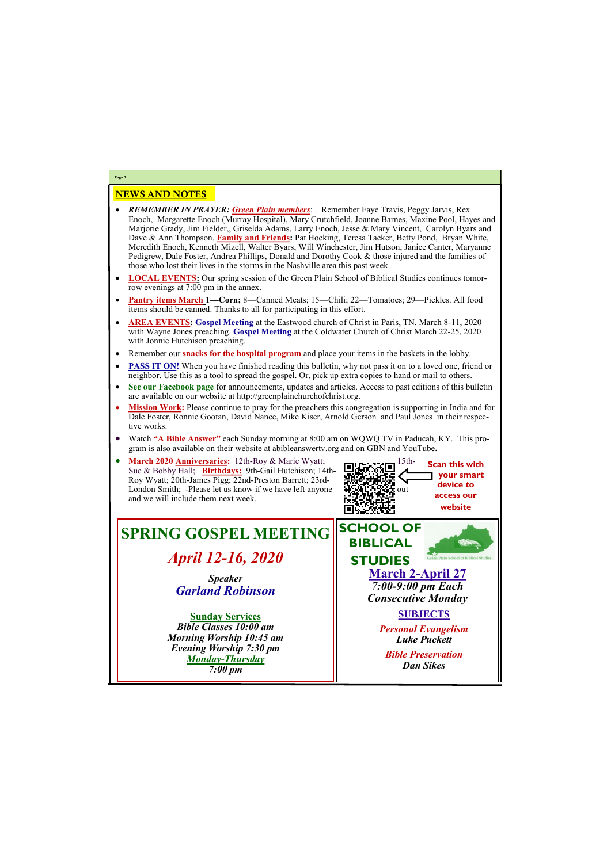# NEWS AND NOTES

- *REMEMBER IN PRAYER: Green Plain members*: . Remember Faye Travis, Peggy Jarvis, Rex Enoch, Margarette Enoch (Murray Hospital), Mary Crutchfield, Joanne Barnes, Maxine Pool, Hayes and Marjorie Grady, Jim Fielder,, Griselda Adams, Larry Enoch, Jesse & Mary Vincent, Carolyn Byars and Dave & Ann Thompson. **Family and Friends:** Pat Hocking, Teresa Tacker, Betty Pond, Bryan White, Meredith Enoch, Kenneth Mizell, Walter Byars, Will Winchester, Jim Hutson, Janice Canter, Maryanne Pedigrew, Dale Foster, Andrea Phillips, Donald and Dorothy Cook & those injured and the families of those who lost their lives in the storms in the Nashville area this past week.
- **LOCAL EVENTS:** Our spring session of the Green Plain School of Biblical Studies continues tomorrow evenings at 7:00 pm in the annex.
- **Pantry items March 1—Corn;** 8—Canned Meats; 15—Chili; 22—Tomatoes; 29—Pickles. All food items should be canned. Thanks to all for participating in this effort.
- **AREA EVENTS: Gospel Meeting** at the Eastwood church of Christ in Paris, TN. March 8-11, 2020 with Wayne Jones preaching. **Gospel Meeting** at the Coldwater Church of Christ March 22-25, 2020 with Jonnie Hutchison preaching.
- Remember our **snacks for the hospital program** and place your items in the baskets in the lobby.
- **PASS IT ON!** When you have finished reading this bulletin, why not pass it on to a loved one, friend or neighbor. Use this as a tool to spread the gospel. Or, pick up extra copies to hand or mail to others.
- **See our Facebook page** for announcements, updates and articles. Access to past editions of this bulletin are available on our website at http://greenplainchurchofchrist.org.
- **Mission Work:** Please continue to pray for the preachers this congregation is supporting in India and for Dale Foster, Ronnie Gootan, David Nance, Mike Kiser, Arnold Gerson and Paul Jones in their respective works.
- Watch **"A Bible Answer"** each Sunday morning at 8:00 am on WQWQ TV in Paducah, KY. This program is also available on their website at abibleanswertv.org and on GBN and YouTube**.**



**Page 2**





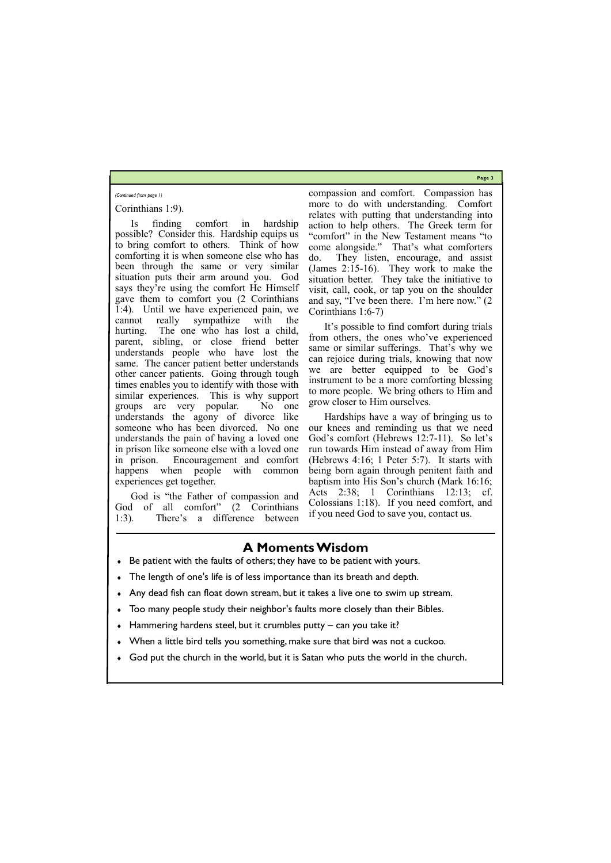**Page 3**

### Corinthians 1:9).

Is finding comfort in hardship possible? Consider this. Hardship equips us to bring comfort to others. Think of how comforting it is when someone else who has been through the same or very similar situation puts their arm around you. God says they're using the comfort He Himself gave them to comfort you (2 Corinthians 1:4). Until we have experienced pain, we cannot really sympathize with the hurting. The one who has lost a child, parent, sibling, or close friend better understands people who have lost the same. The cancer patient better understands other cancer patients. Going through tough times enables you to identify with those with similar experiences. This is why support groups are very popular. No one understands the agony of divorce like someone who has been divorced. No one understands the pain of having a loved one in prison like someone else with a loved one in prison. Encouragement and comfort happens when people with common experiences get together.

God is "the Father of compassion and God of all comfort" (2 Corinthians 1:3). There's a difference between

compassion and comfort. Compassion has more to do with understanding. Comfort relates with putting that understanding into action to help others. The Greek term for "comfort" in the New Testament means "to come alongside." That's what comforters do. They listen, encourage, and assist (James 2:15-16). They work to make the situation better. They take the initiative to visit, call, cook, or tap you on the shoulder and say, "I've been there. I'm here now." (2 Corinthians 1:6-7)

It's possible to find comfort during trials from others, the ones who've experienced same or similar sufferings. That's why we can rejoice during trials, knowing that now we are better equipped to be God's instrument to be a more comforting blessing to more people. We bring others to Him and grow closer to Him ourselves.

Hardships have a way of bringing us to our knees and reminding us that we need God's comfort (Hebrews 12:7-11). So let's run towards Him instead of away from Him (Hebrews 4:16; 1 Peter 5:7). It starts with being born again through penitent faith and baptism into His Son's church (Mark 16:16; Acts 2:38; 1 Corinthians 12:13; cf. Colossians 1:18). If you need comfort, and if you need God to save you, contact us.

#### *(Continued from page 1)*

# **A Moments Wisdom**

- Be patient with the faults of others; they have to be patient with yours.
- The length of one's life is of less importance than its breath and depth.
- Any dead fish can float down stream, but it takes a live one to swim up stream.
- Too many people study their neighbor's faults more closely than their Bibles.
- Hammering hardens steel, but it crumbles putty can you take it?
- When a little bird tells you something, make sure that bird was not a cuckoo.

God put the church in the world, but it is Satan who puts the world in the church.